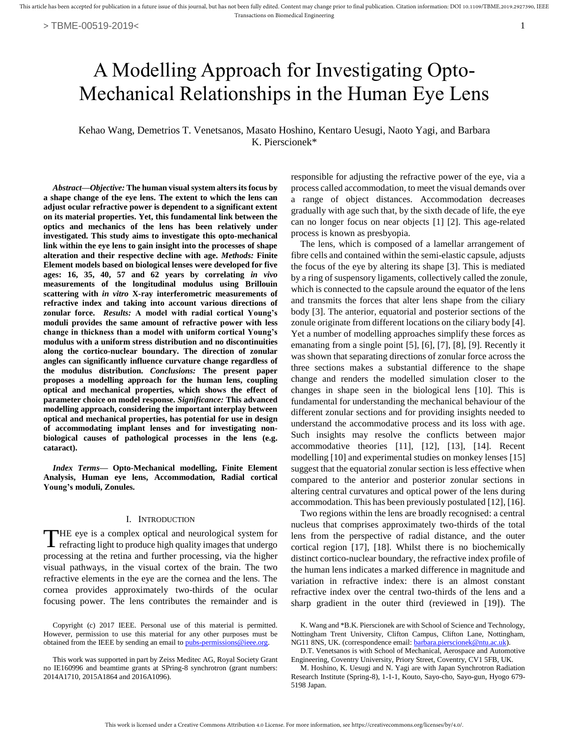# A Modelling Approach for Investigating Opto-Mechanical Relationships in the Human Eye Lens

Kehao Wang*,* Demetrios T. Venetsanos, Masato Hoshino, Kentaro Uesugi, Naoto Yagi, and Barbara K. Pierscionek\*

*Abstract***—***Objective:* **The human visual system alters its focus by a shape change of the eye lens. The extent to which the lens can adjust ocular refractive power is dependent to a significant extent on its material properties. Yet, this fundamental link between the optics and mechanics of the lens has been relatively under investigated. This study aims to investigate this opto-mechanical link within the eye lens to gain insight into the processes of shape alteration and their respective decline with age.** *Methods:* **Finite Element models based on biological lenses were developed for five ages: 16, 35, 40, 57 and 62 years by correlating** *in vivo* **measurements of the longitudinal modulus using Brillouin scattering with** *in vitro* **X-ray interferometric measurements of refractive index and taking into account various directions of zonular force.** *Results:* **A model with radial cortical Young's moduli provides the same amount of refractive power with less change in thickness than a model with uniform cortical Young's modulus with a uniform stress distribution and no discontinuities along the cortico-nuclear boundary. The direction of zonular angles can significantly influence curvature change regardless of the modulus distribution.** *Conclusions:* **The present paper proposes a modelling approach for the human lens, coupling optical and mechanical properties, which shows the effect of parameter choice on model response.** *Significance:* **This advanced modelling approach, considering the important interplay between optical and mechanical properties, has potential for use in design of accommodating implant lenses and for investigating nonbiological causes of pathological processes in the lens (e.g. cataract).**

*Index Terms***— Opto-Mechanical modelling, Finite Element Analysis, Human eye lens, Accommodation, Radial cortical Young's moduli, Zonules.** 

#### I. INTRODUCTION

HE eye is a complex optical and neurological system for THE eye is a complex optical and neurological system for refracting light to produce high quality images that undergo processing at the retina and further processing, via the higher visual pathways, in the visual cortex of the brain. The two refractive elements in the eye are the cornea and the lens. The cornea provides approximately two-thirds of the ocular focusing power. The lens contributes the remainder and is

responsible for adjusting the refractive power of the eye, via a process called accommodation, to meet the visual demands over a range of object distances. Accommodation decreases gradually with age such that, by the sixth decade of life, the eye can no longer focus on near objects [1] [2]. This age-related process is known as presbyopia.

The lens, which is composed of a lamellar arrangement of fibre cells and contained within the semi-elastic capsule, adjusts the focus of the eye by altering its shape [3]. This is mediated by a ring of suspensory ligaments, collectively called the zonule, which is connected to the capsule around the equator of the lens and transmits the forces that alter lens shape from the ciliary body [3]. The anterior, equatorial and posterior sections of the zonule originate from different locations on the ciliary body [4]. Yet a number of modelling approaches simplify these forces as emanating from a single point [5], [6], [7], [8], [9]. Recently it was shown that separating directions of zonular force across the three sections makes a substantial difference to the shape change and renders the modelled simulation closer to the changes in shape seen in the biological lens [10]. This is fundamental for understanding the mechanical behaviour of the different zonular sections and for providing insights needed to understand the accommodative process and its loss with age. Such insights may resolve the conflicts between major accommodative theories [11], [12], [13], [14]. Recent modelling [10] and experimental studies on monkey lenses [15] suggest that the equatorial zonular section is less effective when compared to the anterior and posterior zonular sections in altering central curvatures and optical power of the lens during accommodation. This has been previously postulated [12], [16].

Two regions within the lens are broadly recognised: a central nucleus that comprises approximately two-thirds of the total lens from the perspective of radial distance, and the outer cortical region [17], [18]. Whilst there is no biochemically distinct cortico-nuclear boundary, the refractive index profile of the human lens indicates a marked difference in magnitude and variation in refractive index: there is an almost constant refractive index over the central two-thirds of the lens and a sharp gradient in the outer third (reviewed in [19]). The

Copyright (c) 2017 IEEE. Personal use of this material is permitted. However, permission to use this material for any other purposes must be obtained from the IEEE by sending an email t[o pubs-permissions@ieee.org.](mailto:pubs-permissions@ieee.org)

This work was supported in part by Zeiss Meditec AG, Royal Society Grant no IE160996 and beamtime grants at SPring-8 synchrotron (grant numbers: 2014A1710, 2015A1864 and 2016A1096).

K. Wang and \*B.K. Pierscionek are with School of Science and Technology, Nottingham Trent University, Clifton Campus, Clifton Lane, Nottingham, NG11 8NS, UK. (correspondence email[: barbara.pierscionek@ntu.ac.uk\)](mailto:barbara.pierscionek@ntu.ac.uk).

D.T. Venetsanos is with School of Mechanical, Aerospace and Automotive Engineering, Coventry University, Priory Street, Coventry, CV1 5FB, UK.

M. Hoshino, K. Uesugi and N. Yagi are with Japan Synchrotron Radiation Research Institute (Spring-8), 1-1-1, Kouto, Sayo-cho, Sayo-gun, Hyogo 679- 5198 Japan.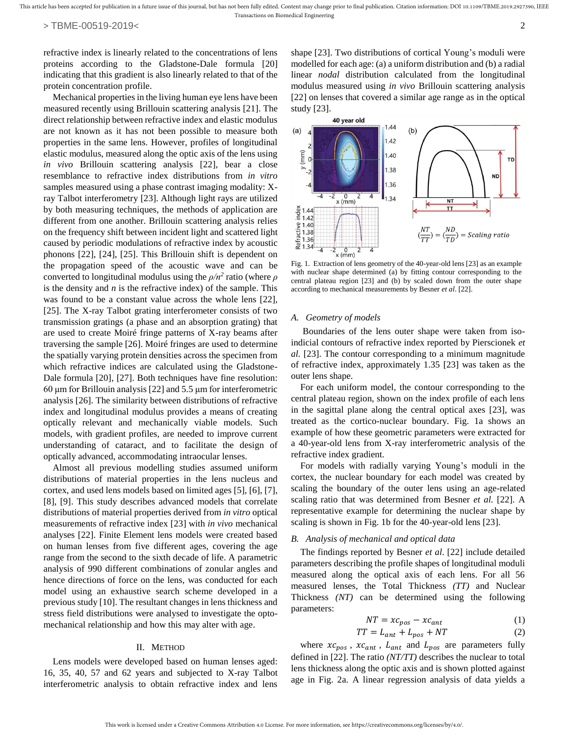refractive index is linearly related to the concentrations of lens proteins according to the Gladstone-Dale formula [20] indicating that this gradient is also linearly related to that of the protein concentration profile.

Mechanical properties in the living human eye lens have been measured recently using Brillouin scattering analysis [21]. The direct relationship between refractive index and elastic modulus are not known as it has not been possible to measure both properties in the same lens. However, profiles of longitudinal elastic modulus, measured along the optic axis of the lens using *in vivo* Brillouin scattering analysis [22], bear a close resemblance to refractive index distributions from *in vitro* samples measured using a phase contrast imaging modality: Xray Talbot interferometry [23]. Although light rays are utilized by both measuring techniques, the methods of application are different from one another. Brillouin scattering analysis relies on the frequency shift between incident light and scattered light caused by periodic modulations of refractive index by acoustic phonons [22], [24], [25]. This Brillouin shift is dependent on the propagation speed of the acoustic wave and can be converted to longitudinal modulus using the  $\rho/n^2$  ratio (where  $\rho$ is the density and *n* is the refractive index) of the sample. This was found to be a constant value across the whole lens [22], [25]. The X-ray Talbot grating interferometer consists of two transmission gratings (a phase and an absorption grating) that are used to create Moiré fringe patterns of X-ray beams after traversing the sample [26]. Moiré fringes are used to determine the spatially varying protein densities across the specimen from which refractive indices are calculated using the Gladstone-Dale formula [20], [27]. Both techniques have fine resolution: 60 μm for Brillouin analysis [22] and 5.5 μm for interferometric analysis [26]. The similarity between distributions of refractive index and longitudinal modulus provides a means of creating optically relevant and mechanically viable models. Such models, with gradient profiles, are needed to improve current understanding of cataract, and to facilitate the design of optically advanced, accommodating intraocular lenses.

Almost all previous modelling studies assumed uniform distributions of material properties in the lens nucleus and cortex, and used lens models based on limited ages [5], [6], [7], [8], [9]. This study describes advanced models that correlate distributions of material properties derived from *in vitro* optical measurements of refractive index [23] with *in vivo* mechanical analyses [22]. Finite Element lens models were created based on human lenses from five different ages, covering the age range from the second to the sixth decade of life. A parametric analysis of 990 different combinations of zonular angles and hence directions of force on the lens, was conducted for each model using an exhaustive search scheme developed in a previous study [10]. The resultant changes in lens thickness and stress field distributions were analysed to investigate the optomechanical relationship and how this may alter with age.

### II. METHOD

Lens models were developed based on human lenses aged: 16, 35, 40, 57 and 62 years and subjected to X-ray Talbot interferometric analysis to obtain refractive index and lens shape [23]. Two distributions of cortical Young's moduli were modelled for each age: (a) a uniform distribution and (b) a radial linear *nodal* distribution calculated from the longitudinal modulus measured using *in vivo* Brillouin scattering analysis [22] on lenses that covered a similar age range as in the optical study [23].



Fig. 1. Extraction of lens geometry of the 40-year-old lens [23] as an example with nuclear shape determined (a) by fitting contour corresponding to the central plateau region [23] and (b) by scaled down from the outer shape according to mechanical measurements by Besner *et al*. [22].

#### *A. Geometry of models*

Boundaries of the lens outer shape were taken from isoindicial contours of refractive index reported by Pierscionek *et al.* [23]. The contour corresponding to a minimum magnitude of refractive index, approximately 1.35 [23] was taken as the outer lens shape.

For each uniform model, the contour corresponding to the central plateau region, shown on the index profile of each lens in the sagittal plane along the central optical axes [23], was treated as the cortico-nuclear boundary. Fig. 1a shows an example of how these geometric parameters were extracted for a 40-year-old lens from X-ray interferometric analysis of the refractive index gradient.

For models with radially varying Young's moduli in the cortex, the nuclear boundary for each model was created by scaling the boundary of the outer lens using an age-related scaling ratio that was determined from Besner *et al.* [22]. A representative example for determining the nuclear shape by scaling is shown in Fig. 1b for the 40-year-old lens [23].

## *B. Analysis of mechanical and optical data*

The findings reported by Besner *et al*. [22] include detailed parameters describing the profile shapes of longitudinal moduli measured along the optical axis of each lens. For all 56 measured lenses, the Total Thickness *(TT)* and Nuclear Thickness *(NT)* can be determined using the following parameters:

$$
NT = x c_{pos} - x c_{ant} \tag{1}
$$

$$
TT = L_{ant} + L_{pos} + NT \tag{2}
$$

where  $xc_{pos}$ ,  $xc_{ant}$ ,  $L_{ant}$  and  $L_{pos}$  are parameters fully defined in [22]. The ratio *(NT/TT)* describes the nuclear to total lens thickness along the optic axis and is shown plotted against age in Fig. 2a. A linear regression analysis of data yields a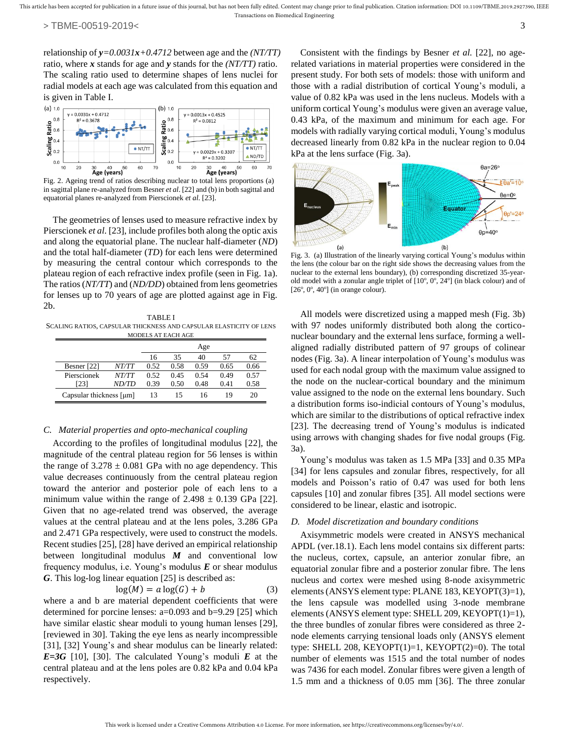relationship of *y=0.0031x+0.4712* between age and the *(NT/TT)* ratio, where *x* stands for age and *y* stands for the *(NT/TT)* ratio. The scaling ratio used to determine shapes of lens nuclei for radial models at each age was calculated from this equation and is given in Table I.



Fig. 2. Ageing trend of ratios describing nuclear to total lens proportions (a) in sagittal plane re-analyzed from Besner *et al*. [22] and (b) in both sagittal and equatorial planes re-analyzed from Pierscionek *et al*. [23].

The geometries of lenses used to measure refractive index by Pierscionek *et al*. [23], include profiles both along the optic axis and along the equatorial plane. The nuclear half-diameter (*ND*) and the total half-diameter (*TD*) for each lens were determined by measuring the central contour which corresponds to the plateau region of each refractive index profile (seen in Fig. 1a). The ratios (*NT/TT*) and (*ND/DD*) obtained from lens geometries for lenses up to 70 years of age are plotted against age in Fig. 2b.

TABLE I SCALING RATIOS, CAPSULAR THICKNESS AND CAPSULAR ELASTICITY OF LENS MODELS AT EACH AGE

|                         |       | Age  |      |      |      |      |
|-------------------------|-------|------|------|------|------|------|
|                         |       | 16   | 35   | 40   | 57   | 62   |
| Besner [22]             | NT/TT | 0.52 | 0.58 | 0.59 | 0.65 | 0.66 |
| Pierscionek             | NT/TT | 0.52 | 0.45 | 0.54 | 0.49 | 0.57 |
| [23]                    | ND/TD | 0.39 | 0.50 | 0.48 | 0.41 | 0.58 |
| Capsular thickness [µm] |       | 13   | 15   | 16   | 19   | 20   |

# *C. Material properties and opto-mechanical coupling*

According to the profiles of longitudinal modulus [22], the magnitude of the central plateau region for 56 lenses is within the range of  $3.278 \pm 0.081$  GPa with no age dependency. This value decreases continuously from the central plateau region toward the anterior and posterior pole of each lens to a minimum value within the range of  $2.498 \pm 0.139$  GPa [22]. Given that no age-related trend was observed, the average values at the central plateau and at the lens poles, 3.286 GPa and 2.471 GPa respectively, were used to construct the models. Recent studies [25], [28] have derived an empirical relationship between longitudinal modulus *M* and conventional low frequency modulus, i.e. Young's modulus *E* or shear modulus *G*. This log-log linear equation [25] is described as:

$$
log(M) = a log(G) + b \tag{3}
$$

where a and b are material dependent coefficients that were determined for porcine lenses: a=0.093 and b=9.29 [25] which have similar elastic shear moduli to young human lenses [29], [reviewed in 30]. Taking the eye lens as nearly incompressible [31], [32] Young's and shear modulus can be linearly related: *E=3G* [10], [30]. The calculated Young's moduli *E* at the central plateau and at the lens poles are 0.82 kPa and 0.04 kPa respectively.

Consistent with the findings by Besner *et al.* [22], no agerelated variations in material properties were considered in the present study. For both sets of models: those with uniform and those with a radial distribution of cortical Young's moduli, a value of 0.82 kPa was used in the lens nucleus. Models with a uniform cortical Young's modulus were given an average value, 0.43 kPa, of the maximum and minimum for each age. For models with radially varying cortical moduli, Young's modulus decreased linearly from 0.82 kPa in the nuclear region to 0.04 kPa at the lens surface (Fig. 3a).



Fig. 3. (a) Illustration of the linearly varying cortical Young's modulus within the lens (the colour bar on the right side shows the decreasing values from the nuclear to the external lens boundary), (b) corresponding discretized 35-yearold model with a zonular angle triplet of  $[10^{\circ}, 0^{\circ}, 24^{\circ}]$  (in black colour) and of  $[26^\circ, 0^\circ, 40^\circ]$  (in orange colour).

All models were discretized using a mapped mesh (Fig. 3b) with 97 nodes uniformly distributed both along the corticonuclear boundary and the external lens surface, forming a wellaligned radially distributed pattern of 97 groups of colinear nodes (Fig. 3a). A linear interpolation of Young's modulus was used for each nodal group with the maximum value assigned to the node on the nuclear-cortical boundary and the minimum value assigned to the node on the external lens boundary. Such a distribution forms iso-indicial contours of Young's modulus, which are similar to the distributions of optical refractive index [23]. The decreasing trend of Young's modulus is indicated using arrows with changing shades for five nodal groups (Fig. 3a).

Young's modulus was taken as 1.5 MPa [33] and 0.35 MPa [34] for lens capsules and zonular fibres, respectively, for all models and Poisson's ratio of 0.47 was used for both lens capsules [10] and zonular fibres [35]. All model sections were considered to be linear, elastic and isotropic.

#### *D. Model discretization and boundary conditions*

Axisymmetric models were created in ANSYS mechanical APDL (ver.18.1). Each lens model contains six different parts: the nucleus, cortex, capsule, an anterior zonular fibre, an equatorial zonular fibre and a posterior zonular fibre. The lens nucleus and cortex were meshed using 8-node axisymmetric elements (ANSYS element type: PLANE 183, KEYOPT(3)=1), the lens capsule was modelled using 3-node membrane elements (ANSYS element type: SHELL 209, KEYOPT(1)=1), the three bundles of zonular fibres were considered as three 2 node elements carrying tensional loads only (ANSYS element type: SHELL 208, KEYOPT $(1)=1$ , KEYOPT $(2)=0$ ). The total number of elements was 1515 and the total number of nodes was 7436 for each model. Zonular fibres were given a length of 1.5 mm and a thickness of 0.05 mm [36]. The three zonular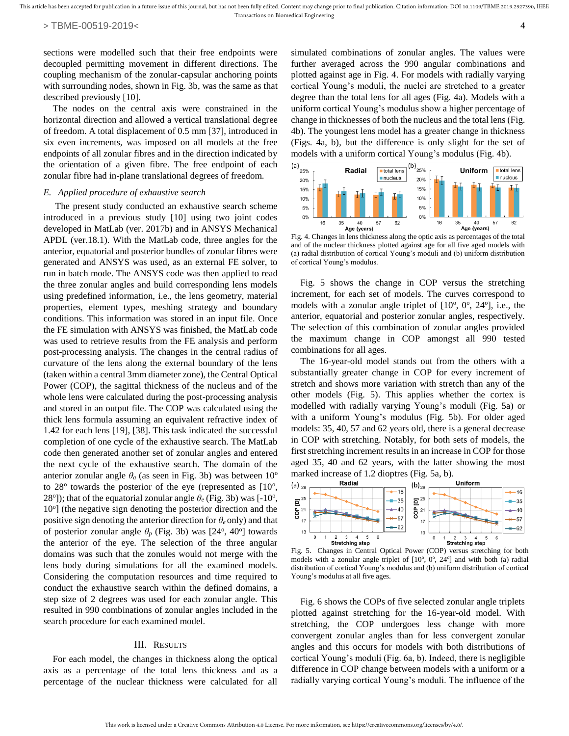sections were modelled such that their free endpoints were decoupled permitting movement in different directions. The coupling mechanism of the zonular-capsular anchoring points with surrounding nodes, shown in Fig. 3b, was the same as that described previously [10].

The nodes on the central axis were constrained in the horizontal direction and allowed a vertical translational degree of freedom. A total displacement of 0.5 mm [37], introduced in six even increments, was imposed on all models at the free endpoints of all zonular fibres and in the direction indicated by the orientation of a given fibre. The free endpoint of each zonular fibre had in-plane translational degrees of freedom.

#### *E. Applied procedure of exhaustive search*

The present study conducted an exhaustive search scheme introduced in a previous study [10] using two joint codes developed in MatLab (ver. 2017b) and in ANSYS Mechanical APDL (ver.18.1). With the MatLab code, three angles for the anterior, equatorial and posterior bundles of zonular fibres were generated and ANSYS was used, as an external FE solver, to run in batch mode. The ANSYS code was then applied to read the three zonular angles and build corresponding lens models using predefined information, i.e., the lens geometry, material properties, element types, meshing strategy and boundary conditions. This information was stored in an input file. Once the FE simulation with ANSYS was finished, the MatLab code was used to retrieve results from the FE analysis and perform post-processing analysis. The changes in the central radius of curvature of the lens along the external boundary of the lens (taken within a central 3mm diameter zone), the Central Optical Power (COP), the sagittal thickness of the nucleus and of the whole lens were calculated during the post-processing analysis and stored in an output file. The COP was calculated using the thick lens formula assuming an equivalent refractive index of 1.42 for each lens [19], [38]. This task indicated the successful completion of one cycle of the exhaustive search. The MatLab code then generated another set of zonular angles and entered the next cycle of the exhaustive search. The domain of the anterior zonular angle  $\theta_a$  (as seen in Fig. 3b) was between  $10^{\circ}$ to  $28^{\circ}$  towards the posterior of the eye (represented as  $[10^{\circ},$ 28<sup>o</sup>]); that of the equatorial zonular angle  $\theta_e$  (Fig. 3b) was [-10<sup>o</sup>, 10<sup>o</sup>] (the negative sign denoting the posterior direction and the positive sign denoting the anterior direction for *θ<sup>e</sup>* only) and that of posterior zonular angle  $\theta_p$  (Fig. 3b) was [24<sup>o</sup>, 40<sup>o</sup>] towards the anterior of the eye. The selection of the three angular domains was such that the zonules would not merge with the lens body during simulations for all the examined models. Considering the computation resources and time required to conduct the exhaustive search within the defined domains, a step size of 2 degrees was used for each zonular angle. This resulted in 990 combinations of zonular angles included in the search procedure for each examined model.

## III. RESULTS

For each model, the changes in thickness along the optical axis as a percentage of the total lens thickness and as a percentage of the nuclear thickness were calculated for all simulated combinations of zonular angles. The values were further averaged across the 990 angular combinations and plotted against age in Fig. 4. For models with radially varying cortical Young's moduli, the nuclei are stretched to a greater degree than the total lens for all ages (Fig. 4a). Models with a uniform cortical Young's modulus show a higher percentage of change in thicknesses of both the nucleus and the total lens (Fig. 4b). The youngest lens model has a greater change in thickness (Figs. 4a, b), but the difference is only slight for the set of models with a uniform cortical Young's modulus (Fig. 4b).



Fig. 4. Changes in lens thickness along the optic axis as percentages of the total and of the nuclear thickness plotted against age for all five aged models with (a) radial distribution of cortical Young's moduli and (b) uniform distribution of cortical Young's modulus.

Fig. 5 shows the change in COP versus the stretching increment, for each set of models. The curves correspond to models with a zonular angle triplet of  $[10^{\circ}, 0^{\circ}, 24^{\circ}]$ , i.e., the anterior, equatorial and posterior zonular angles, respectively. The selection of this combination of zonular angles provided the maximum change in COP amongst all 990 tested combinations for all ages.

The 16-year-old model stands out from the others with a substantially greater change in COP for every increment of stretch and shows more variation with stretch than any of the other models (Fig. 5). This applies whether the cortex is modelled with radially varying Young's moduli (Fig. 5a) or with a uniform Young's modulus (Fig. 5b). For older aged models: 35, 40, 57 and 62 years old, there is a general decrease in COP with stretching. Notably, for both sets of models, the first stretching increment results in an increase in COP for those aged 35, 40 and 62 years, with the latter showing the most marked increase of 1.2 dioptres (Fig. 5a, b).



Fig. 5. Changes in Central Optical Power (COP) versus stretching for both models with a zonular angle triplet of  $[10^{\circ}, 0^{\circ}, 24^{\circ}]$  and with both (a) radial distribution of cortical Young's modulus and (b) uniform distribution of cortical Young's modulus at all five ages.

Fig. 6 shows the COPs of five selected zonular angle triplets plotted against stretching for the 16-year-old model. With stretching, the COP undergoes less change with more convergent zonular angles than for less convergent zonular angles and this occurs for models with both distributions of cortical Young's moduli (Fig. 6a, b). Indeed, there is negligible difference in COP change between models with a uniform or a radially varying cortical Young's moduli. The influence of the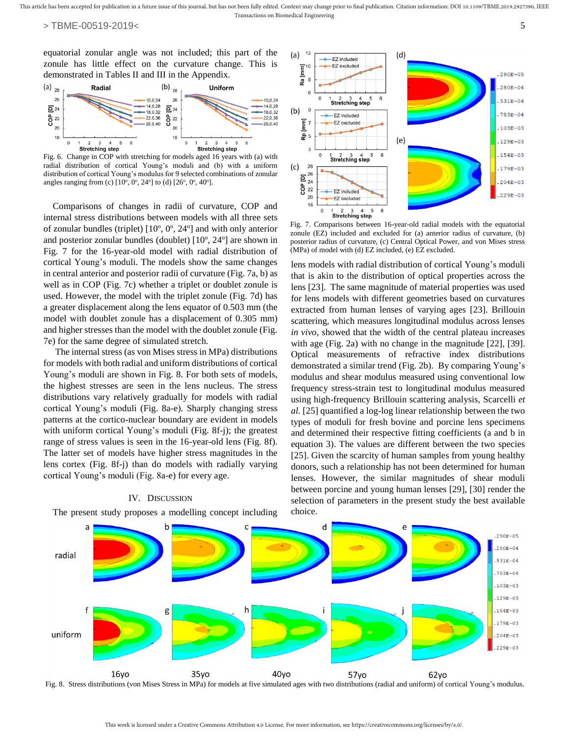equatorial zonular angle was not included; this part of the zonule has little effect on the curvature change. This is demonstrated in Tables II and III in the Appendix.



Fig. 6. Change in COP with stretching for models aged 16 years with (a) with radial distribution of cortical Young's moduli and (b) with a uniform distribution of cortical Young's modulus for 9 selected combinations of zonular angles ranging from (c)  $[10^{\circ}, 0^{\circ}, 24^{\circ}]$  to (d)  $[26^{\circ}, 0^{\circ}, 40^{\circ}]$ .

Comparisons of changes in radii of curvature, COP and internal stress distributions between models with all three sets of zonular bundles (triplet)  $[10^{\circ}, 0^{\circ}, 24^{\circ}]$  and with only anterior and posterior zonular bundles (doublet) [10°, 24°] are shown in Fig. 7 for the 16-year-old model with radial distribution of cortical Young's moduli. The models show the same changes in central anterior and posterior radii of curvature (Fig. 7a, b) as well as in COP (Fig. 7c) whether a triplet or doublet zonule is used. However, the model with the triplet zonule (Fig. 7d) has a greater displacement along the lens equator of 0.503 mm (the model with doublet zonule has a displacement of 0.305 mm) and higher stresses than the model with the doublet zonule (Fig. 7e) for the same degree of simulated stretch.

The internal stress (as von Mises stress in MPa) distributions for models with both radial and uniform distributions of cortical Young's moduli are shown in Fig. 8. For both sets of models, the highest stresses are seen in the lens nucleus. The stress distributions vary relatively gradually for models with radial cortical Young's moduli (Fig. 8a-e). Sharply changing stress patterns at the cortico-nuclear boundary are evident in models with uniform cortical Young's moduli (Fig. 8f-j); the greatest range of stress values is seen in the 16-year-old lens (Fig. 8f). The latter set of models have higher stress magnitudes in the lens cortex (Fig. 8f-j) than do models with radially varying cortical Young's moduli (Fig. 8a-e) for every age.

#### IV. DISCUSSION

The present study proposes a modelling concept including



Fig. 7. Comparisons between 16-year-old radial models with the equatorial zonule (EZ) included and excluded for (a) anterior radius of curvature, (b) posterior radius of curvature, (c) Central Optical Power, and von Mises stress (MPa) of model with (d) EZ included, (e) EZ excluded.

lens models with radial distribution of cortical Young's moduli that is akin to the distribution of optical properties across the lens [23]. The same magnitude of material properties was used for lens models with different geometries based on curvatures extracted from human lenses of varying ages [23]. Brillouin scattering, which measures longitudinal modulus across lenses *in vivo*, showed that the width of the central plateau increases with age (Fig. 2a) with no change in the magnitude [22], [39]. Optical measurements of refractive index distributions demonstrated a similar trend (Fig. 2b). By comparing Young's modulus and shear modulus measured using conventional low frequency stress-strain test to longitudinal modulus measured using high-frequency Brillouin scattering analysis, Scarcelli *et al.* [25] quantified a log-log linear relationship between the two types of moduli for fresh bovine and porcine lens specimens and determined their respective fitting coefficients (a and b in equation 3). The values are different between the two species [25]. Given the scarcity of human samples from young healthy donors, such a relationship has not been determined for human lenses. However, the similar magnitudes of shear moduli between porcine and young human lenses [29], [30] render the selection of parameters in the present study the best available choice.



Fig. 8. Stress distributions (von Mises Stress in MPa) for models at five simulated ages with two distributions (radial and uniform) of cortical Young's modulus.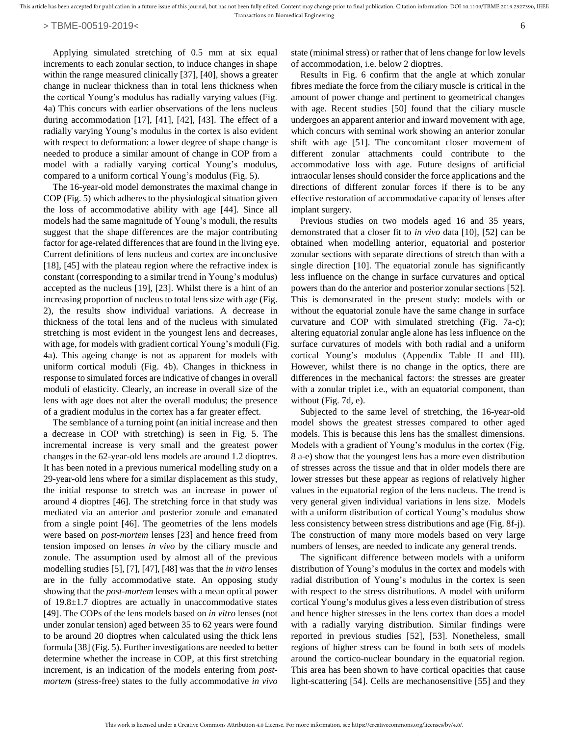Applying simulated stretching of 0.5 mm at six equal increments to each zonular section, to induce changes in shape within the range measured clinically [37], [40], shows a greater change in nuclear thickness than in total lens thickness when the cortical Young's modulus has radially varying values (Fig. 4a) This concurs with earlier observations of the lens nucleus during accommodation [17], [41], [42], [43]. The effect of a radially varying Young's modulus in the cortex is also evident with respect to deformation: a lower degree of shape change is needed to produce a similar amount of change in COP from a model with a radially varying cortical Young's modulus, compared to a uniform cortical Young's modulus (Fig. 5).

The 16-year-old model demonstrates the maximal change in COP (Fig. 5) which adheres to the physiological situation given the loss of accommodative ability with age [44]. Since all models had the same magnitude of Young's moduli, the results suggest that the shape differences are the major contributing factor for age-related differences that are found in the living eye. Current definitions of lens nucleus and cortex are inconclusive [18], [45] with the plateau region where the refractive index is constant (corresponding to a similar trend in Young's modulus) accepted as the nucleus [19], [23]. Whilst there is a hint of an increasing proportion of nucleus to total lens size with age (Fig. 2), the results show individual variations. A decrease in thickness of the total lens and of the nucleus with simulated stretching is most evident in the youngest lens and decreases, with age, for models with gradient cortical Young's moduli (Fig. 4a). This ageing change is not as apparent for models with uniform cortical moduli (Fig. 4b). Changes in thickness in response to simulated forces are indicative of changes in overall moduli of elasticity. Clearly, an increase in overall size of the lens with age does not alter the overall modulus; the presence of a gradient modulus in the cortex has a far greater effect.

The semblance of a turning point (an initial increase and then a decrease in COP with stretching) is seen in Fig. 5. The incremental increase is very small and the greatest power changes in the 62-year-old lens models are around 1.2 dioptres. It has been noted in a previous numerical modelling study on a 29-year-old lens where for a similar displacement as this study, the initial response to stretch was an increase in power of around 4 dioptres [46]. The stretching force in that study was mediated via an anterior and posterior zonule and emanated from a single point [46]. The geometries of the lens models were based on *post-mortem* lenses [23] and hence freed from tension imposed on lenses *in vivo* by the ciliary muscle and zonule. The assumption used by almost all of the previous modelling studies [5], [7], [47], [48] was that the *in vitro* lenses are in the fully accommodative state. An opposing study showing that the *post-mortem* lenses with a mean optical power of 19.8±1.7 dioptres are actually in unaccommodative states [49]. The COPs of the lens models based on *in vitro* lenses (not under zonular tension) aged between 35 to 62 years were found to be around 20 dioptres when calculated using the thick lens formula [38] (Fig. 5). Further investigations are needed to better determine whether the increase in COP, at this first stretching increment, is an indication of the models entering from *postmortem* (stress-free) states to the fully accommodative *in vivo* state (minimal stress) or rather that of lens change for low levels of accommodation, i.e. below 2 dioptres.

Results in Fig. 6 confirm that the angle at which zonular fibres mediate the force from the ciliary muscle is critical in the amount of power change and pertinent to geometrical changes with age. Recent studies [50] found that the ciliary muscle undergoes an apparent anterior and inward movement with age, which concurs with seminal work showing an anterior zonular shift with age [51]. The concomitant closer movement of different zonular attachments could contribute to the accommodative loss with age. Future designs of artificial intraocular lenses should consider the force applications and the directions of different zonular forces if there is to be any effective restoration of accommodative capacity of lenses after implant surgery.

Previous studies on two models aged 16 and 35 years, demonstrated that a closer fit to *in vivo* data [10], [52] can be obtained when modelling anterior, equatorial and posterior zonular sections with separate directions of stretch than with a single direction [10]. The equatorial zonule has significantly less influence on the change in surface curvatures and optical powers than do the anterior and posterior zonular sections [52]. This is demonstrated in the present study: models with or without the equatorial zonule have the same change in surface curvature and COP with simulated stretching (Fig. 7a-c); altering equatorial zonular angle alone has less influence on the surface curvatures of models with both radial and a uniform cortical Young's modulus (Appendix Table II and III). However, whilst there is no change in the optics, there are differences in the mechanical factors: the stresses are greater with a zonular triplet i.e., with an equatorial component, than without (Fig. 7d, e).

Subjected to the same level of stretching, the 16-year-old model shows the greatest stresses compared to other aged models. This is because this lens has the smallest dimensions. Models with a gradient of Young's modulus in the cortex (Fig. 8 a-e) show that the youngest lens has a more even distribution of stresses across the tissue and that in older models there are lower stresses but these appear as regions of relatively higher values in the equatorial region of the lens nucleus. The trend is very general given individual variations in lens size. Models with a uniform distribution of cortical Young's modulus show less consistency between stress distributions and age (Fig. 8f-j). The construction of many more models based on very large numbers of lenses, are needed to indicate any general trends.

The significant difference between models with a uniform distribution of Young's modulus in the cortex and models with radial distribution of Young's modulus in the cortex is seen with respect to the stress distributions. A model with uniform cortical Young's modulus gives a less even distribution of stress and hence higher stresses in the lens cortex than does a model with a radially varying distribution. Similar findings were reported in previous studies [52], [53]. Nonetheless, small regions of higher stress can be found in both sets of models around the cortico-nuclear boundary in the equatorial region. This area has been shown to have cortical opacities that cause light-scattering [54]. Cells are mechanosensitive [55] and they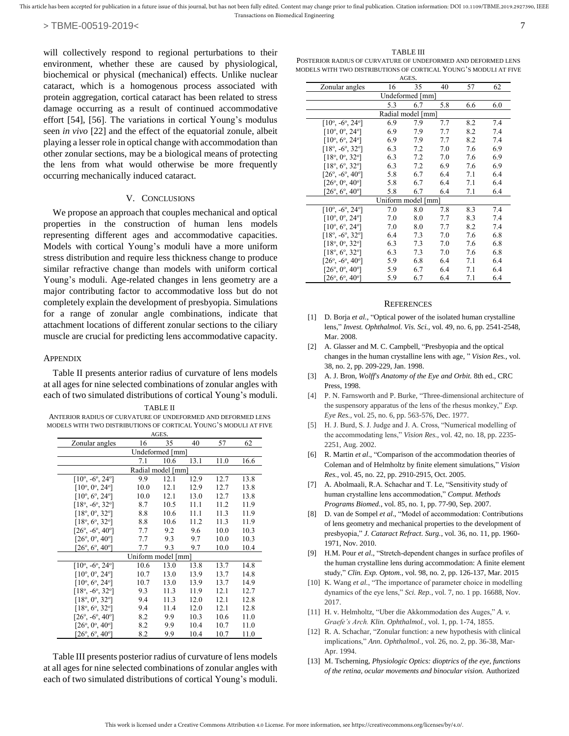will collectively respond to regional perturbations to their environment, whether these are caused by physiological, biochemical or physical (mechanical) effects. Unlike nuclear cataract, which is a homogenous process associated with protein aggregation, cortical cataract has been related to stress damage occurring as a result of continued accommodative effort [54], [56]. The variations in cortical Young's modulus seen *in vivo* [22] and the effect of the equatorial zonule, albeit playing a lesser role in optical change with accommodation than other zonular sections, may be a biological means of protecting the lens from what would otherwise be more frequently

### V. CONCLUSIONS

occurring mechanically induced cataract.

We propose an approach that couples mechanical and optical properties in the construction of human lens models representing different ages and accommodative capacities. Models with cortical Young's moduli have a more uniform stress distribution and require less thickness change to produce similar refractive change than models with uniform cortical Young's moduli. Age-related changes in lens geometry are a major contributing factor to accommodative loss but do not completely explain the development of presbyopia. Simulations for a range of zonular angle combinations, indicate that attachment locations of different zonular sections to the ciliary muscle are crucial for predicting lens accommodative capacity.

## **APPENDIX**

Table II presents anterior radius of curvature of lens models at all ages for nine selected combinations of zonular angles with each of two simulated distributions of cortical Young's moduli.

| TABLE II                                                         |
|------------------------------------------------------------------|
| ANTERIOR RADIUS OF CURVATURE OF UNDEFORMED AND DEFORMED LENS     |
| MODELS WITH TWO DISTRIBUTIONS OF CORTICAL YOUNG'S MODULI AT FIVE |

| AGES.                                  |      |      |      |      |      |  |  |
|----------------------------------------|------|------|------|------|------|--|--|
| Zonular angles                         | 16   | 35   | 40   | 57   | 62   |  |  |
| Undeformed [mm]                        |      |      |      |      |      |  |  |
|                                        | 7.1  | 10.6 | 13.1 | 11.0 | 16.6 |  |  |
| Radial model [mm]                      |      |      |      |      |      |  |  |
| $[10^{\circ}, -6^{\circ}, 24^{\circ}]$ | 9.9  | 12.1 | 12.9 | 12.7 | 13.8 |  |  |
| $[10^{\circ}, 0^{\circ}, 24^{\circ}]$  | 10.0 | 12.1 | 12.9 | 12.7 | 13.8 |  |  |
| $[10^{\circ}, 6^{\circ}, 24^{\circ}]$  | 10.0 | 12.1 | 13.0 | 12.7 | 13.8 |  |  |
| $[18^\circ, -6^\circ, 32^\circ]$       | 8.7  | 10.5 | 11.1 | 11.2 | 11.9 |  |  |
| $[18^{\circ}, 0^{\circ}, 32^{\circ}]$  | 8.8  | 10.6 | 11.1 | 11.3 | 11.9 |  |  |
| $[18^\circ, 6^\circ, 32^\circ]$        | 8.8  | 10.6 | 11.2 | 11.3 | 11.9 |  |  |
| $[26^{\circ}, -6^{\circ}, 40^{\circ}]$ | 7.7  | 9.2  | 9.6  | 10.0 | 10.3 |  |  |
| $[26^{\circ}, 0^{\circ}, 40^{\circ}]$  | 7.7  | 9.3  | 9.7  | 10.0 | 10.3 |  |  |
| $[26^{\circ}, 6^{\circ}, 40^{\circ}]$  | 7.7  | 9.3  | 9.7  | 10.0 | 10.4 |  |  |
| Uniform model [mm]                     |      |      |      |      |      |  |  |
| $[10^{\circ}, -6^{\circ}, 24^{\circ}]$ | 10.6 | 13.0 | 13.8 | 13.7 | 14.8 |  |  |
| $[10^{\circ}, 0^{\circ}, 24^{\circ}]$  | 10.7 | 13.0 | 13.9 | 13.7 | 14.8 |  |  |
| $[10^{\circ}, 6^{\circ}, 24^{\circ}]$  | 10.7 | 13.0 | 13.9 | 13.7 | 14.9 |  |  |
| $[18^\circ, -6^\circ, 32^\circ]$       | 9.3  | 11.3 | 11.9 | 12.1 | 12.7 |  |  |
| $[18^\circ, 0^\circ, 32^\circ]$        | 9.4  | 11.3 | 12.0 | 12.1 | 12.8 |  |  |
| $[18^\circ, 6^\circ, 32^\circ]$        | 9.4  | 11.4 | 12.0 | 12.1 | 12.8 |  |  |
| $[26^{\circ}, -6^{\circ}, 40^{\circ}]$ | 8.2  | 9.9  | 10.3 | 10.6 | 11.0 |  |  |
| $[26^{\circ}, 0^{\circ}, 40^{\circ}]$  | 8.2  | 9.9  | 10.4 | 10.7 | 11.0 |  |  |
| $[26^{\circ}, 6^{\circ}, 40^{\circ}]$  | 8.2  | 9.9  | 10.4 | 10.7 | 11.0 |  |  |

Table III presents posterior radius of curvature of lens models at all ages for nine selected combinations of zonular angles with each of two simulated distributions of cortical Young's moduli.

TABLE III POSTERIOR RADIUS OF CURVATURE OF UNDEFORMED AND DEFORMED LENS MODELS WITH TWO DISTRIBUTIONS OF CORTICAL YOUNG'S MODULI AT FIVE

| AGES.                                  |     |     |     |     |     |  |  |  |
|----------------------------------------|-----|-----|-----|-----|-----|--|--|--|
| Zonular angles                         | 16  | 35  | 40  | 57  | 62  |  |  |  |
| Undeformed [mm]                        |     |     |     |     |     |  |  |  |
|                                        | 5.3 | 6.7 | 5.8 | 6.6 | 6.0 |  |  |  |
| Radial model [mm]                      |     |     |     |     |     |  |  |  |
| $[10^{\circ}, -6^{\circ}, 24^{\circ}]$ | 6.9 | 7.9 | 7.7 | 8.2 | 7.4 |  |  |  |
| $[10^{\circ}, 0^{\circ}, 24^{\circ}]$  | 6.9 | 7.9 | 7.7 | 8.2 | 7.4 |  |  |  |
| $[10^{\circ}, 6^{\circ}, 24^{\circ}]$  | 6.9 | 7.9 | 7.7 | 8.2 | 7.4 |  |  |  |
| $[18^\circ, -6^\circ, 32^\circ]$       | 6.3 | 7.2 | 7.0 | 7.6 | 6.9 |  |  |  |
| $[18^\circ, 0^\circ, 32^\circ]$        | 6.3 | 7.2 | 7.0 | 7.6 | 6.9 |  |  |  |
| $[18^\circ, 6^\circ, 32^\circ]$        | 6.3 | 7.2 | 6.9 | 7.6 | 6.9 |  |  |  |
| $[26^{\circ}, -6^{\circ}, 40^{\circ}]$ | 5.8 | 6.7 | 6.4 | 7.1 | 6.4 |  |  |  |
| $[26^{\circ}, 0^{\circ}, 40^{\circ}]$  | 5.8 | 6.7 | 6.4 | 7.1 | 6.4 |  |  |  |
| $[26^{\circ}, 6^{\circ}, 40^{\circ}]$  | 5.8 | 6.7 | 6.4 | 7.1 | 6.4 |  |  |  |
| Uniform model [mm]                     |     |     |     |     |     |  |  |  |
| $[10^{\circ}, -6^{\circ}, 24^{\circ}]$ | 7.0 | 8.0 | 7.8 | 8.3 | 7.4 |  |  |  |
| $[10^{\circ}, 0^{\circ}, 24^{\circ}]$  | 7.0 | 8.0 | 7.7 | 8.3 | 7.4 |  |  |  |
| $[10^{\circ}, 6^{\circ}, 24^{\circ}]$  | 7.0 | 8.0 | 7.7 | 8.2 | 7.4 |  |  |  |
| $[18^\circ, -6^\circ, 32^\circ]$       | 6.4 | 7.3 | 7.0 | 7.6 | 6.8 |  |  |  |
| $[18^{\circ}, 0^{\circ}, 32^{\circ}]$  | 6.3 | 7.3 | 7.0 | 7.6 | 6.8 |  |  |  |
| $[18^\circ, 6^\circ, 32^\circ]$        | 6.3 | 7.3 | 7.0 | 7.6 | 6.8 |  |  |  |
| $[26^{\circ}, -6^{\circ}, 40^{\circ}]$ | 5.9 | 6.8 | 6.4 | 7.1 | 6.4 |  |  |  |
| $[26^{\circ}, 0^{\circ}, 40^{\circ}]$  | 5.9 | 6.7 | 6.4 | 7.1 | 6.4 |  |  |  |
| $[26^{\circ}, 6^{\circ}, 40^{\circ}]$  | 5.9 | 6.7 | 6.4 | 7.1 | 6.4 |  |  |  |

#### **REFERENCES**

- [1] D. Borja *et al.*, "Optical power of the isolated human crystalline lens," *Invest. Ophthalmol. Vis. Sci.,* vol. 49, no. 6, pp. 2541-2548, Mar. 2008.
- [2] A. Glasser and M. C. Campbell, "Presbyopia and the optical changes in the human crystalline lens with age, " *Vision Res.,* vol. 38, no. 2, pp. 209-229, Jan. 1998.
- [3] A. J. Bron, *Wolff's Anatomy of the Eye and Orbit.* 8th ed., CRC Press, 1998.
- [4] P. N. Farnsworth and P. Burke, "Three-dimensional architecture of the suspensory apparatus of the lens of the rhesus monkey," *Exp. Eye Res.,* vol. 25, no. 6, pp. 563-576, Dec. 1977.
- [5] H. J. Burd, S. J. Judge and J. A. Cross, "Numerical modelling of the accommodating lens," *Vision Res.,* vol. 42, no. 18, pp. 2235- 2251, Aug. 2002.
- [6] R. Martin *et al*., "Comparison of the accommodation theories of Coleman and of Helmholtz by finite element simulations," *Vision Res.*, vol. 45, no. 22, pp. 2910-2915, Oct. 2005.
- [7] A. Abolmaali, R.A. Schachar and T. Le, "Sensitivity study of human crystalline lens accommodation," *Comput. Methods Programs Biomed.*, vol. 85, no. 1, pp. 77-90, Sep. 2007.
- [8] D. van de Sompel *et al*., "Model of accommodation: Contributions of lens geometry and mechanical properties to the development of presbyopia," *J. Cataract Refract. Surg.*, vol. 36, no. 11, pp. 1960- 1971, Nov. 2010.
- [9] H.M. Pour *et al.*, "Stretch-dependent changes in surface profiles of the human crystalline lens during accommodation: A finite element study," *Clin. Exp. Optom.*, vol. 98, no. 2, pp. 126-137, Mar. 2015
- [10] K. Wang *et al.*, "The importance of parameter choice in modelling dynamics of the eye lens," *Sci. Rep.*, vol. 7, no. 1 pp. 16688, Nov. 2017.
- [11] H. v. Helmholtz, "Uber die Akkommodation des Auges," *A. v. Graefe's Arch. Klin. Ophthalmol.,* vol. 1, pp. 1-74, 1855.
- [12] R. A. Schachar, "Zonular function: a new hypothesis with clinical implications," *Ann. Ophthalmol.,* vol. 26, no. 2, pp. 36-38, Mar-Apr. 1994.
- [13] M. Tscherning, *Physiologic Optics: dioptrics of the eye, functions of the retina, ocular movements and binocular vision.* Authorized